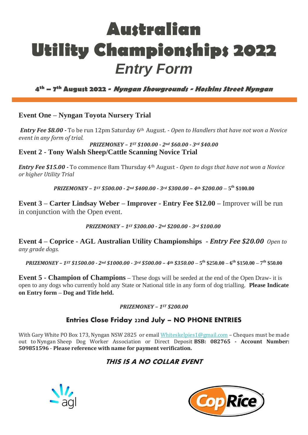# **Australian Utility Championships 2022** *Entry Form*

**4th – 7 th August 2022 - Nyngan Showgrounds - Hoskins Street Nyngan**

### **Event One – Nyngan Toyota Nursery Trial**

*Entry Fee \$8.00 -* To be run 12pm Saturday 6th August. - *Open to Handlers that have not won a Novice event in any form of trial.*

*PRIZEMONEY – 1ST \$100.00 - 2nd \$60.00 - 3rd \$40.00* **Event 2 - Tony Walsh Sheep/Cattle Scanning Novice Trial**

*Entry Fee \$15.00 -* To commence 8am Thursday 4th August - *Open to dogs that have not won a Novice or higher Utility Trial*

*PRIZEMONEY – 1ST \$500.00 - 2nd \$400.00 - 3rd \$300.00 – 4th \$200.00* **– 5 th \$100.00**

**Event 3 – Carter Lindsay Weber – Improver - Entry Fee \$12.00 –** Improver will be run in conjunction with the Open event.

*PRIZEMONEY – 1ST \$300.00 - 2nd \$200.00 - 3rd \$100.00*

**Event 4 – Coprice - AGL Australian Utility Championships -** *Entry Fee \$20.00 Open to any grade dogs.*

PRIZEMONEY – 1st \$1500.00 - 2nd \$1000.00 - 3rd \$500.00 – 4th \$350.00 – 5<sup>th</sup> \$250.00 – 6<sup>th</sup> \$150.00 – 7<sup>th</sup> \$50.00

**Event 5 - Champion of Champions –** These dogs will be seeded at the end of the Open Draw- it is open to any dogs who currently hold any State or National title in any form of dog trialling. **Please Indicate on Entry form – Dog and Title held.**

#### *PRIZEMONEY – 1ST \$200.00*

## Entries Close Friday 22nd July – NO PHONE ENTRIES

With Gary White PO Box 173, Nyngan NSW 2825 or email [Whiteskelpies1@gmail.com](mailto:Whiteskelpies1@gmail.com) - Cheques must be made out to Nyngan Sheep Dog Worker Association or Direct Deposit **BSB: 082765 - Account Number: 509851596** - **Please reference with name for payment verification.**

## **THIS IS A NO COLLAR EVENT**